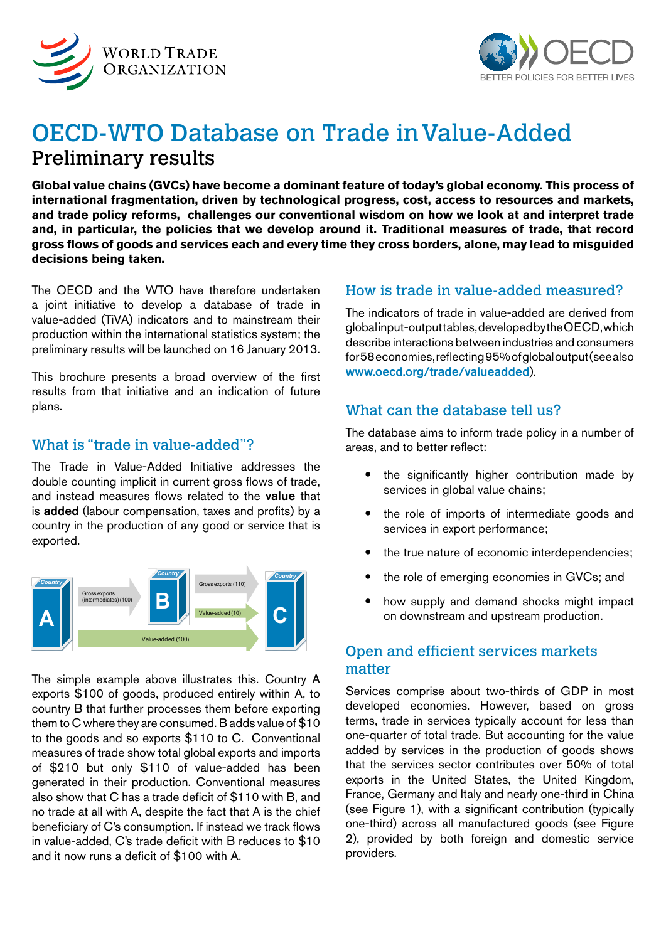



# OECD-WTO Database on Trade in Value-Added Preliminary results

**Global value chains (GVCs) have become a dominant feature of today's global economy. This process of international fragmentation, driven by technological progress, cost, access to resources and markets, and trade policy reforms, challenges our conventional wisdom on how we look at and interpret trade and, in particular, the policies that we develop around it. Traditional measures of trade, that record gross flows of goods and services each and every time they cross borders, alone, may lead to misguided decisions being taken.**

The OECD and the WTO have therefore undertaken a joint initiative to develop a database of trade in value-added (TiVA) indicators and to mainstream their production within the international statistics system; the preliminary results will be launched on 16 January 2013.

This brochure presents a broad overview of the first results from that initiative and an indication of future plans.

# What is "trade in value-added"?

The Trade in Value-Added Initiative addresses the double counting implicit in current gross flows of trade, and instead measures flows related to the value that is added (labour compensation, taxes and profits) by a country in the production of any good or service that is exported.



The simple example above illustrates this. Country A exports \$100 of goods, produced entirely within A, to country B that further processes them before exporting them to C where they are consumed. B adds value of \$10 to the goods and so exports \$110 to C. Conventional measures of trade show total global exports and imports of \$210 but only \$110 of value-added has been generated in their production. Conventional measures also show that C has a trade deficit of \$110 with B, and no trade at all with A, despite the fact that A is the chief beneficiary of C's consumption. If instead we track flows in value-added, C's trade deficit with B reduces to \$10 and it now runs a deficit of \$100 with A.

# How is trade in value-added measured?

The indicators of trade in value-added are derived from global input-output tables, developed by the OECD, which describe interactions between industries and consumers for 58 economies, reflecting 95% of global output (see also [www.oecd.org/trade/valueadded](http://www.oecd.org/trade/valueadded)).

# What can the database tell us?

The database aims to inform trade policy in a number of areas, and to better reflect:

- the significantly higher contribution made by services in global value chains;
- the role of imports of intermediate goods and services in export performance;
- the true nature of economic interdependencies;
- the role of emerging economies in GVCs; and
- how supply and demand shocks might impact on downstream and upstream production.

# Open and efficient services markets matter

Services comprise about two-thirds of GDP in most developed economies. However, based on gross terms, trade in services typically account for less than one-quarter of total trade. But accounting for the value added by services in the production of goods shows that the services sector contributes over 50% of total exports in the United States, the United Kingdom, France, Germany and Italy and nearly one-third in China (see Figure 1), with a significant contribution (typically one-third) across all manufactured goods (see Figure 2), provided by both foreign and domestic service providers.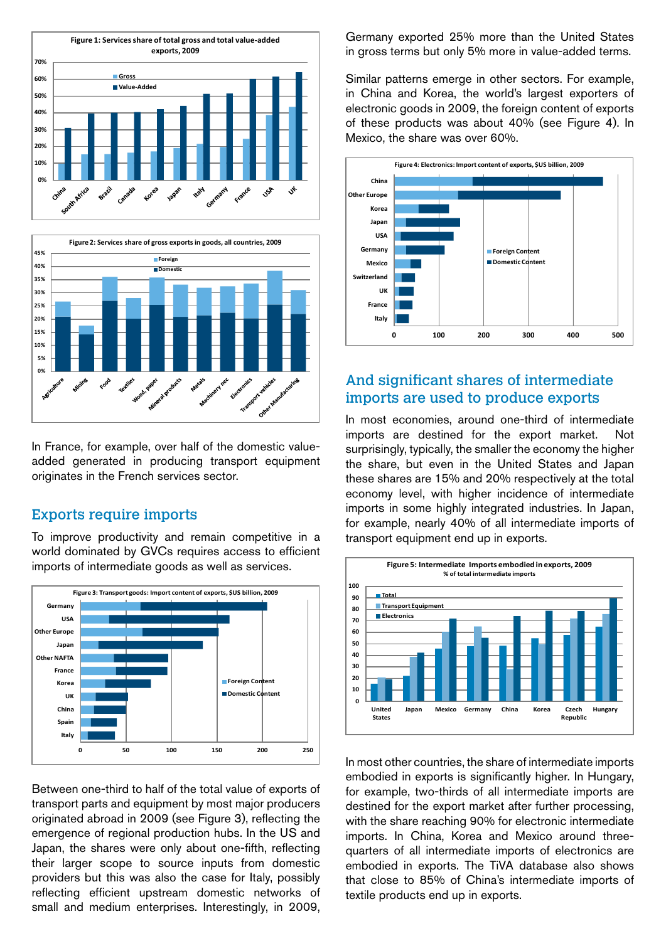



In France, for example, over half of the domestic valueadded generated in producing transport equipment originates in the French services sector.

#### Exports require imports

To improve productivity and remain competitive in a world dominated by GVCs requires access to efficient imports of intermediate goods as well as services.



Between one-third to half of the total value of exports of transport parts and equipment by most major producers originated abroad in 2009 (see Figure 3), reflecting the emergence of regional production hubs. In the US and Japan, the shares were only about one-fifth, reflecting their larger scope to source inputs from domestic providers but this was also the case for Italy, possibly reflecting efficient upstream domestic networks of small and medium enterprises. Interestingly, in 2009,

Germany exported 25% more than the United States in gross terms but only 5% more in value-added terms.

Similar patterns emerge in other sectors. For example, in China and Korea, the world's largest exporters of electronic goods in 2009, the foreign content of exports of these products was about 40% (see Figure 4). In Mexico, the share was over 60%.



# And significant shares of intermediate imports are used to produce exports

In most economies, around one-third of intermediate imports are destined for the export market. Not surprisingly, typically, the smaller the economy the higher the share, but even in the United States and Japan these shares are 15% and 20% respectively at the total economy level, with higher incidence of intermediate imports in some highly integrated industries. In Japan, for example, nearly 40% of all intermediate imports of transport equipment end up in exports.



In most other countries, the share of intermediate imports embodied in exports is significantly higher. In Hungary, for example, two-thirds of all intermediate imports are destined for the export market after further processing, with the share reaching 90% for electronic intermediate imports. In China, Korea and Mexico around threequarters of all intermediate imports of electronics are embodied in exports. The TiVA database also shows that close to 85% of China's intermediate imports of textile products end up in exports.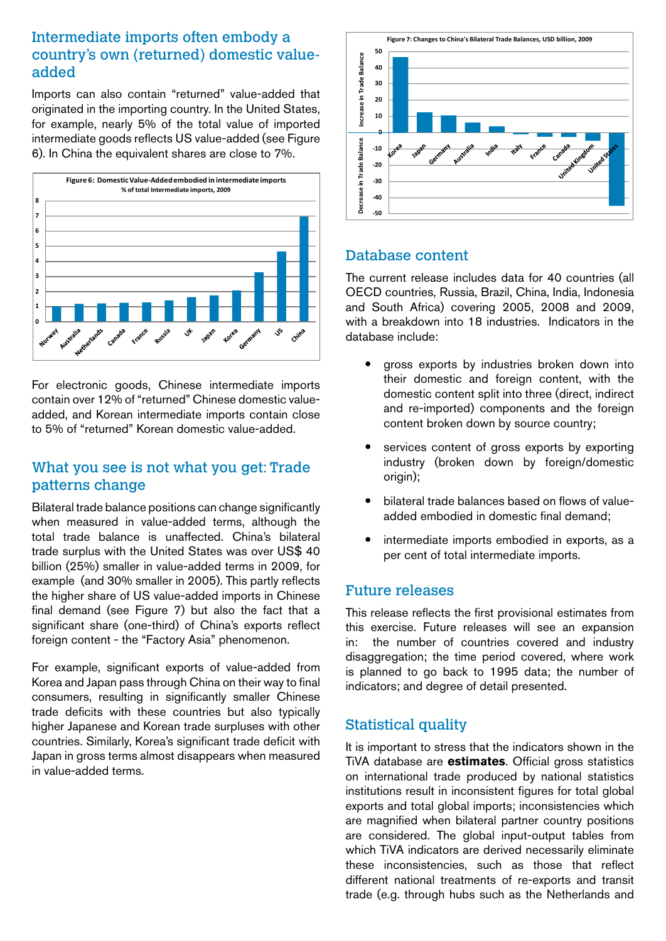# Intermediate imports often embody a country's own (returned) domestic valueadded

Imports can also contain "returned" value-added that originated in the importing country. In the United States, for example, nearly 5% of the total value of imported intermediate goods reflects US value-added (see Figure 6). In China the equivalent shares are close to 7%.



For electronic goods, Chinese intermediate imports contain over 12% of "returned" Chinese domestic valueadded, and Korean intermediate imports contain close to 5% of "returned" Korean domestic value-added.

# What you see is not what you get: Trade patterns change

Bilateral trade balance positions can change significantly when measured in value-added terms, although the total trade balance is unaffected. China's bilateral trade surplus with the United States was over US\$ 40 billion (25%) smaller in value-added terms in 2009, for example (and 30% smaller in 2005). This partly reflects the higher share of US value-added imports in Chinese final demand (see Figure 7) but also the fact that a significant share (one-third) of China's exports reflect foreign content - the "Factory Asia" phenomenon.

For example, significant exports of value-added from Korea and Japan pass through China on their way to final consumers, resulting in significantly smaller Chinese trade deficits with these countries but also typically higher Japanese and Korean trade surpluses with other countries. Similarly, Korea's significant trade deficit with Japan in gross terms almost disappears when measured in value-added terms.



# Database content

The current release includes data for 40 countries (all OECD countries, Russia, Brazil, China, India, Indonesia and South Africa) covering 2005, 2008 and 2009, with a breakdown into 18 industries. Indicators in the database include:

- gross exports by industries broken down into their domestic and foreign content, with the domestic content split into three (direct, indirect and re-imported) components and the foreign content broken down by source country;
- services content of gross exports by exporting industry (broken down by foreign/domestic origin);
- bilateral trade balances based on flows of valueadded embodied in domestic final demand;
- intermediate imports embodied in exports, as a per cent of total intermediate imports.

#### Future releases

This release reflects the first provisional estimates from this exercise. Future releases will see an expansion in: the number of countries covered and industry disaggregation; the time period covered, where work is planned to go back to 1995 data; the number of indicators; and degree of detail presented.

# Statistical quality

It is important to stress that the indicators shown in the TiVA database are **estimates**. Official gross statistics on international trade produced by national statistics institutions result in inconsistent figures for total global exports and total global imports; inconsistencies which are magnified when bilateral partner country positions are considered. The global input-output tables from which TiVA indicators are derived necessarily eliminate these inconsistencies, such as those that reflect different national treatments of re-exports and transit trade (e.g. through hubs such as the Netherlands and